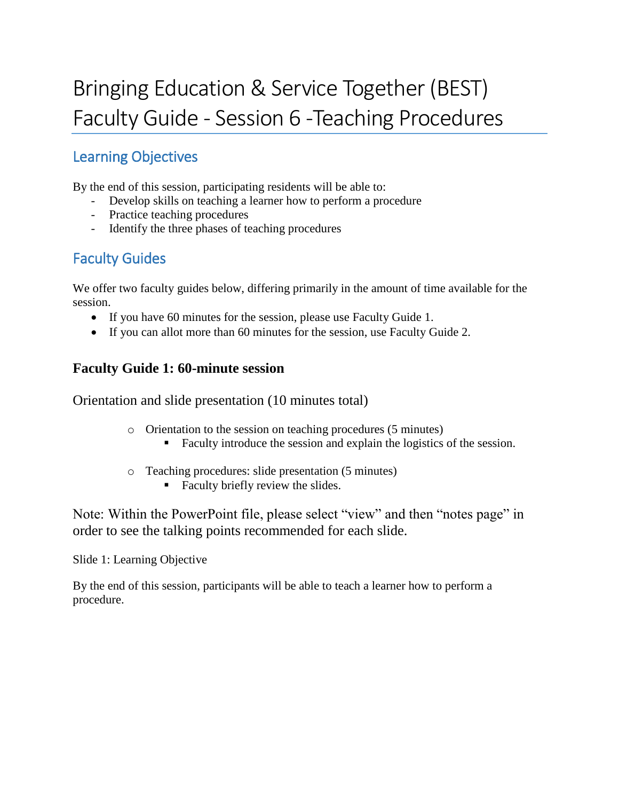# Bringing Education & Service Together (BEST) Faculty Guide - Session 6 -Teaching Procedures

# Learning Objectives

By the end of this session, participating residents will be able to:

- Develop skills on teaching a learner how to perform a procedure
- Practice teaching procedures
- Identify the three phases of teaching procedures

# Faculty Guides

We offer two faculty guides below, differing primarily in the amount of time available for the session.

- If you have 60 minutes for the session, please use Faculty Guide 1.
- If you can allot more than 60 minutes for the session, use Faculty Guide 2.

# **Faculty Guide 1: 60-minute session**

Orientation and slide presentation (10 minutes total)

- o Orientation to the session on teaching procedures (5 minutes)
	- Faculty introduce the session and explain the logistics of the session.
- o Teaching procedures: slide presentation (5 minutes)
	- Faculty briefly review the slides.

Note: Within the PowerPoint file, please select "view" and then "notes page" in order to see the talking points recommended for each slide.

Slide 1: Learning Objective

By the end of this session, participants will be able to teach a learner how to perform a procedure.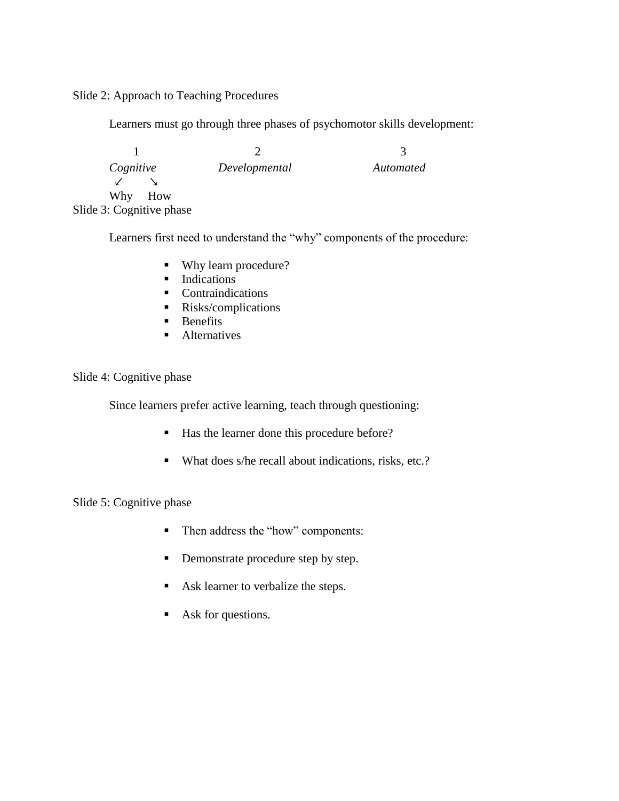Slide 2: Approach to Teaching Procedures

Learners must go through three phases of psychomotor skills development:

1 2 3 *Cognitive Developmental Automated* ↙ ↘ Why How Slide 3: Cognitive phase

Learners first need to understand the "why" components of the procedure:

- Why learn procedure?
- **Indications**
- **Contraindications**
- Risks/complications
- $\blacksquare$  Benefits
- **Alternatives**

Slide 4: Cognitive phase

Since learners prefer active learning, teach through questioning:

- Has the learner done this procedure before?
- What does s/he recall about indications, risks, etc.?

Slide 5: Cognitive phase

- Then address the "how" components:
- Demonstrate procedure step by step.
- Ask learner to verbalize the steps.
- Ask for questions.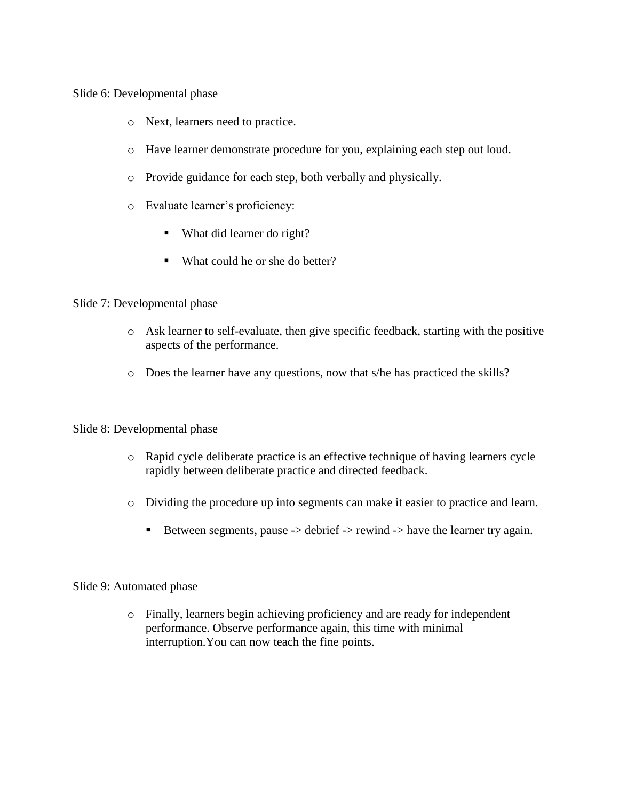Slide 6: Developmental phase

- o Next, learners need to practice.
- o Have learner demonstrate procedure for you, explaining each step out loud.
- o Provide guidance for each step, both verbally and physically.
- o Evaluate learner's proficiency:
	- What did learner do right?
	- What could he or she do better?

## Slide 7: Developmental phase

- o Ask learner to self-evaluate, then give specific feedback, starting with the positive aspects of the performance.
- o Does the learner have any questions, now that s/he has practiced the skills?

## Slide 8: Developmental phase

- o Rapid cycle deliberate practice is an effective technique of having learners cycle rapidly between deliberate practice and directed feedback.
- o Dividing the procedure up into segments can make it easier to practice and learn.
	- Between segments, pause  $\rightarrow$  debrief  $\rightarrow$  rewind  $\rightarrow$  have the learner try again.

## Slide 9: Automated phase

o Finally, learners begin achieving proficiency and are ready for independent performance. Observe performance again, this time with minimal interruption.You can now teach the fine points.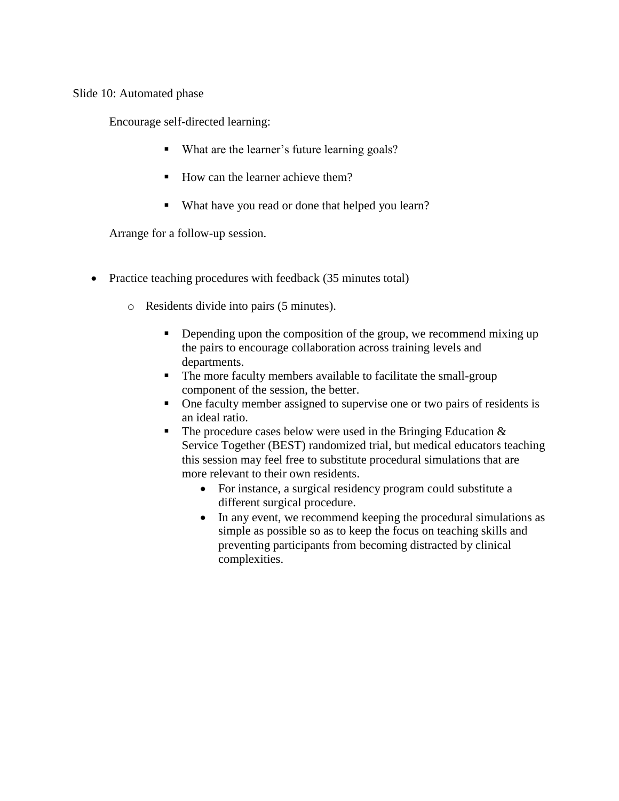Slide 10: Automated phase

Encourage self-directed learning:

- What are the learner's future learning goals?
- $\blacksquare$  How can the learner achieve them?
- What have you read or done that helped you learn?

Arrange for a follow-up session.

- Practice teaching procedures with feedback (35 minutes total)
	- o Residents divide into pairs (5 minutes).
		- Depending upon the composition of the group, we recommend mixing up the pairs to encourage collaboration across training levels and departments.
		- The more faculty members available to facilitate the small-group component of the session, the better.
		- One faculty member assigned to supervise one or two pairs of residents is an ideal ratio.
		- The procedure cases below were used in the Bringing Education  $\&$ Service Together (BEST) randomized trial, but medical educators teaching this session may feel free to substitute procedural simulations that are more relevant to their own residents.
			- For instance, a surgical residency program could substitute a different surgical procedure.
			- In any event, we recommend keeping the procedural simulations as simple as possible so as to keep the focus on teaching skills and preventing participants from becoming distracted by clinical complexities.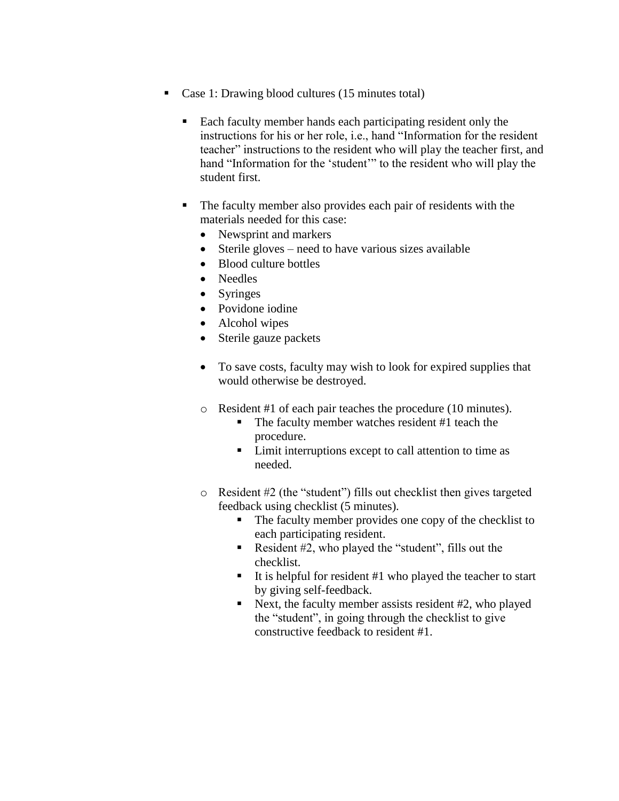- Case 1: Drawing blood cultures (15 minutes total)
	- Each faculty member hands each participating resident only the instructions for his or her role, i.e., hand "Information for the resident teacher" instructions to the resident who will play the teacher first, and hand "Information for the 'student'" to the resident who will play the student first.
	- The faculty member also provides each pair of residents with the materials needed for this case:
		- Newsprint and markers
		- Sterile gloves need to have various sizes available
		- Blood culture bottles
		- Needles
		- Syringes
		- Povidone iodine
		- Alcohol wipes
		- Sterile gauze packets
		- To save costs, faculty may wish to look for expired supplies that would otherwise be destroyed.
		- o Resident #1 of each pair teaches the procedure (10 minutes).
			- The faculty member watches resident #1 teach the procedure.
			- **Limit interruptions except to call attention to time as** needed.
		- o Resident #2 (the "student") fills out checklist then gives targeted feedback using checklist (5 minutes).
			- The faculty member provides one copy of the checklist to each participating resident.
			- Resident  $#2$ , who played the "student", fills out the checklist.
			- It is helpful for resident  $#1$  who played the teacher to start by giving self-feedback.
			- Next, the faculty member assists resident  $#2$ , who played the "student", in going through the checklist to give constructive feedback to resident #1.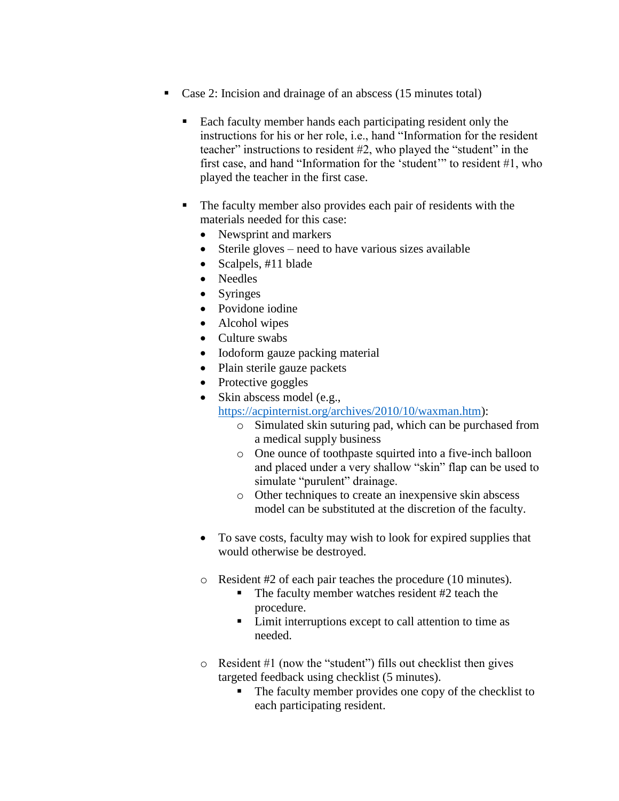- Case 2: Incision and drainage of an abscess (15 minutes total)
	- **Each faculty member hands each participating resident only the** instructions for his or her role, i.e., hand "Information for the resident teacher" instructions to resident #2, who played the "student" in the first case, and hand "Information for the 'student'" to resident #1, who played the teacher in the first case.
	- The faculty member also provides each pair of residents with the materials needed for this case:
		- Newsprint and markers
		- Sterile gloves need to have various sizes available
		- Scalpels, #11 blade
		- Needles
		- Syringes
		- Povidone iodine
		- Alcohol wipes
		- Culture swabs
		- Iodoform gauze packing material
		- Plain sterile gauze packets
		- Protective goggles
		- Skin abscess model (e.g.,

[https://acpinternist.org/archives/2010/10/waxman.htm\)](https://acpinternist.org/archives/2010/10/waxman.htm):

- o Simulated skin suturing pad, which can be purchased from a medical supply business
- o One ounce of toothpaste squirted into a five-inch balloon and placed under a very shallow "skin" flap can be used to simulate "purulent" drainage.
- o Other techniques to create an inexpensive skin abscess model can be substituted at the discretion of the faculty.
- To save costs, faculty may wish to look for expired supplies that would otherwise be destroyed.
- o Resident #2 of each pair teaches the procedure (10 minutes).
	- The faculty member watches resident #2 teach the procedure.
	- Limit interruptions except to call attention to time as needed.
- o Resident #1 (now the "student") fills out checklist then gives targeted feedback using checklist (5 minutes).
	- The faculty member provides one copy of the checklist to each participating resident.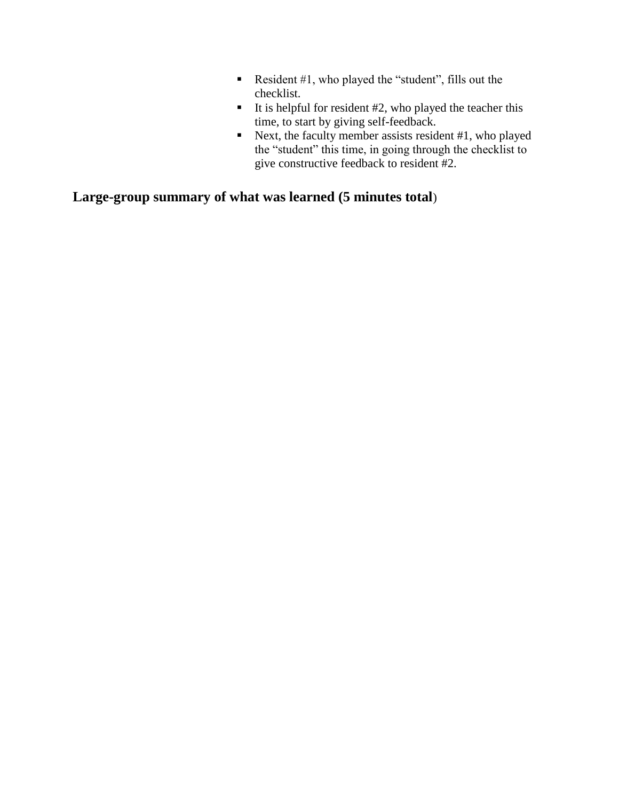- Resident  $#1$ , who played the "student", fills out the checklist.
- It is helpful for resident  $#2$ , who played the teacher this time, to start by giving self-feedback.
- Next, the faculty member assists resident  $#1$ , who played the "student" this time, in going through the checklist to give constructive feedback to resident #2.

**Large-group summary of what was learned (5 minutes total**)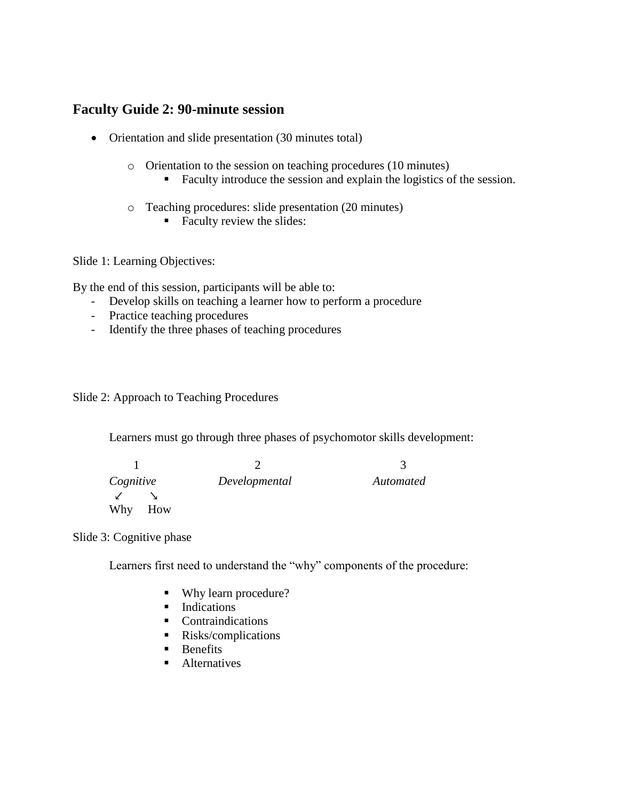# **Faculty Guide 2: 90-minute session**

- Orientation and slide presentation (30 minutes total)
	- o Orientation to the session on teaching procedures (10 minutes)
		- Faculty introduce the session and explain the logistics of the session.
	- o Teaching procedures: slide presentation (20 minutes)
		- Faculty review the slides:

Slide 1: Learning Objectives:

By the end of this session, participants will be able to:

- Develop skills on teaching a learner how to perform a procedure
- Practice teaching procedures
- Identify the three phases of teaching procedures

Slide 2: Approach to Teaching Procedures

Learners must go through three phases of psychomotor skills development:

| Cognitive    | Developmental | Automated |
|--------------|---------------|-----------|
| $\checkmark$ |               |           |
| Why<br>How   |               |           |

Slide 3: Cognitive phase

Learners first need to understand the "why" components of the procedure:

- Why learn procedure?
- **Indications**
- Contraindications
- Risks/complications
- $\blacksquare$  Benefits
- **Alternatives**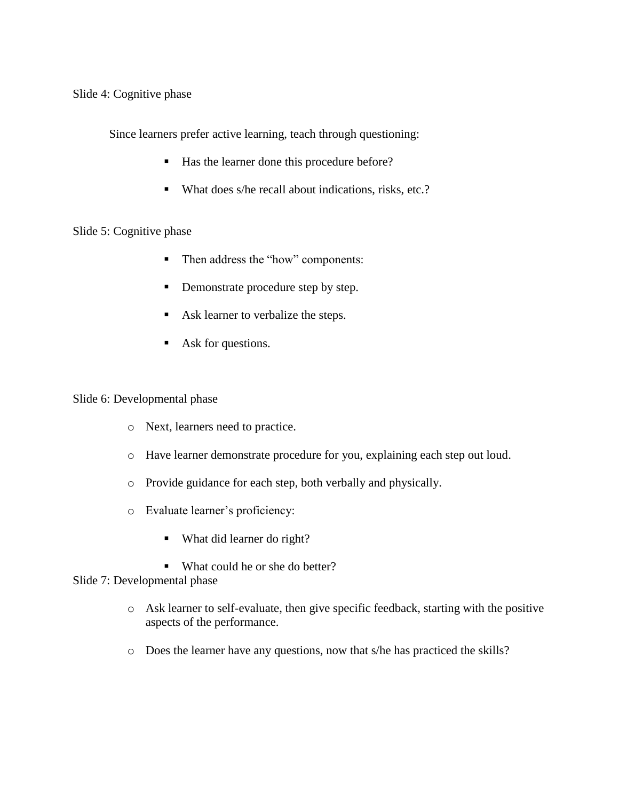Slide 4: Cognitive phase

Since learners prefer active learning, teach through questioning:

- Has the learner done this procedure before?
- What does s/he recall about indications, risks, etc.?

## Slide 5: Cognitive phase

- Then address the "how" components:
- Demonstrate procedure step by step.
- Ask learner to verbalize the steps.
- Ask for questions.

Slide 6: Developmental phase

- o Next, learners need to practice.
- o Have learner demonstrate procedure for you, explaining each step out loud.
- o Provide guidance for each step, both verbally and physically.
- o Evaluate learner's proficiency:
	- What did learner do right?
	- What could he or she do better?

# Slide 7: Developmental phase

- o Ask learner to self-evaluate, then give specific feedback, starting with the positive aspects of the performance.
- o Does the learner have any questions, now that s/he has practiced the skills?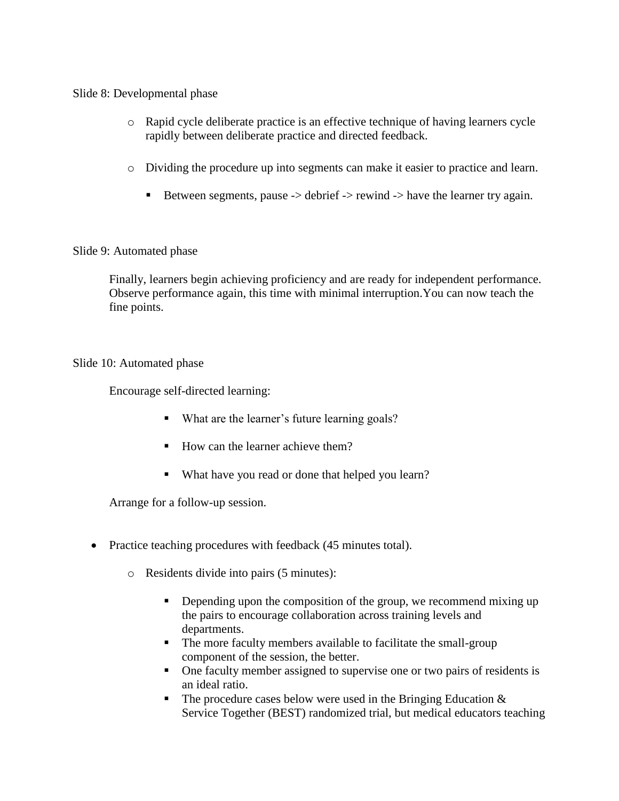Slide 8: Developmental phase

- o Rapid cycle deliberate practice is an effective technique of having learners cycle rapidly between deliberate practice and directed feedback.
- o Dividing the procedure up into segments can make it easier to practice and learn.
	- Between segments, pause  $\rightarrow$  debrief  $\rightarrow$  rewind  $\rightarrow$  have the learner try again.

## Slide 9: Automated phase

Finally, learners begin achieving proficiency and are ready for independent performance. Observe performance again, this time with minimal interruption.You can now teach the fine points.

## Slide 10: Automated phase

Encourage self-directed learning:

- What are the learner's future learning goals?
- $\blacksquare$  How can the learner achieve them?
- What have you read or done that helped you learn?

Arrange for a follow-up session.

- Practice teaching procedures with feedback (45 minutes total).
	- o Residents divide into pairs (5 minutes):
		- Depending upon the composition of the group, we recommend mixing up the pairs to encourage collaboration across training levels and departments.
		- The more faculty members available to facilitate the small-group component of the session, the better.
		- One faculty member assigned to supervise one or two pairs of residents is an ideal ratio.
		- The procedure cases below were used in the Bringing Education  $\&$ Service Together (BEST) randomized trial, but medical educators teaching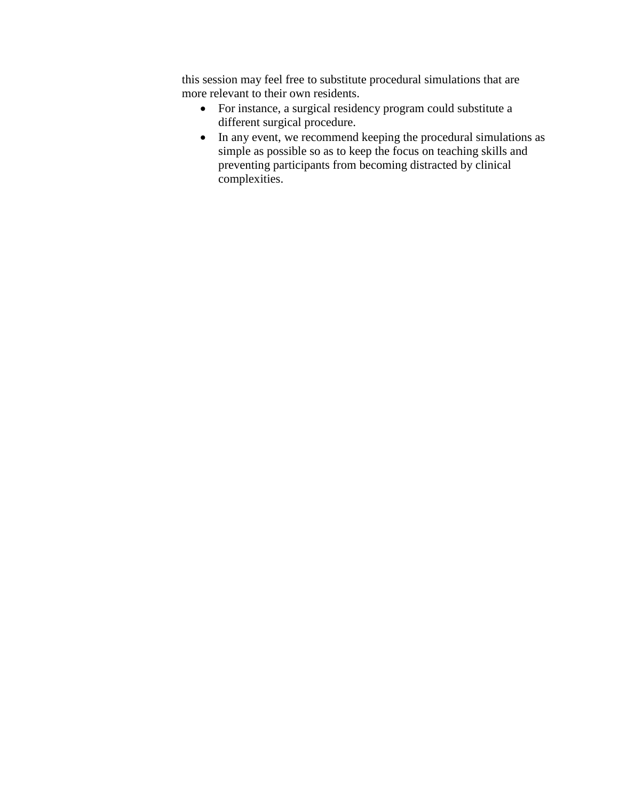this session may feel free to substitute procedural simulations that are more relevant to their own residents.

- For instance, a surgical residency program could substitute a different surgical procedure.
- In any event, we recommend keeping the procedural simulations as simple as possible so as to keep the focus on teaching skills and preventing participants from becoming distracted by clinical complexities.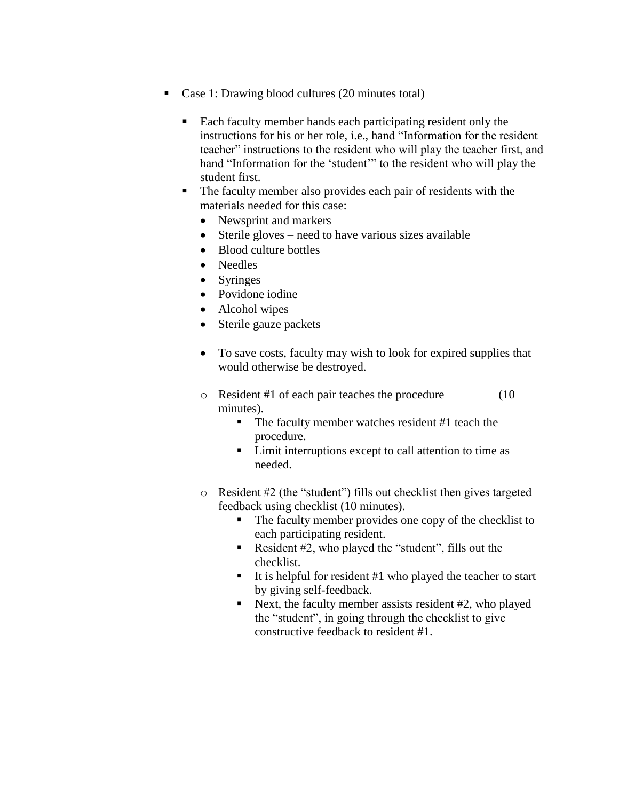- Case 1: Drawing blood cultures (20 minutes total)
	- Each faculty member hands each participating resident only the instructions for his or her role, i.e., hand "Information for the resident teacher" instructions to the resident who will play the teacher first, and hand "Information for the 'student'" to the resident who will play the student first.
	- The faculty member also provides each pair of residents with the materials needed for this case:
		- Newsprint and markers
		- Sterile gloves need to have various sizes available
		- Blood culture bottles
		- Needles
		- Syringes
		- Povidone iodine
		- Alcohol wipes
		- Sterile gauze packets
		- To save costs, faculty may wish to look for expired supplies that would otherwise be destroyed.
		- o Resident #1 of each pair teaches the procedure (10 minutes).
			- The faculty member watches resident #1 teach the procedure.
			- **Limit interruptions except to call attention to time as** needed.
		- o Resident #2 (the "student") fills out checklist then gives targeted feedback using checklist (10 minutes).
			- The faculty member provides one copy of the checklist to each participating resident.
			- Resident  $#2$ , who played the "student", fills out the checklist.
			- It is helpful for resident  $#1$  who played the teacher to start by giving self-feedback.
			- Next, the faculty member assists resident  $#2$ , who played the "student", in going through the checklist to give constructive feedback to resident #1.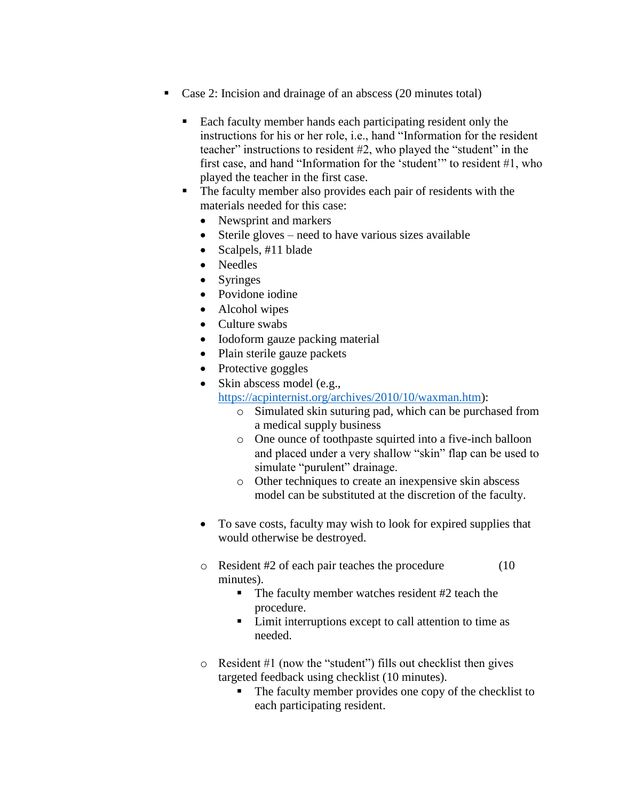- Case 2: Incision and drainage of an abscess (20 minutes total)
	- Each faculty member hands each participating resident only the instructions for his or her role, i.e., hand "Information for the resident teacher" instructions to resident #2, who played the "student" in the first case, and hand "Information for the 'student'" to resident #1, who played the teacher in the first case.
	- The faculty member also provides each pair of residents with the materials needed for this case:
		- Newsprint and markers
		- Sterile gloves need to have various sizes available
		- Scalpels, #11 blade
		- Needles
		- Syringes
		- Povidone iodine
		- Alcohol wipes
		- Culture swabs
		- Iodoform gauze packing material
		- Plain sterile gauze packets
		- Protective goggles
		- Skin abscess model (e.g.,

[https://acpinternist.org/archives/2010/10/waxman.htm\)](https://acpinternist.org/archives/2010/10/waxman.htm):

- o Simulated skin suturing pad, which can be purchased from a medical supply business
- o One ounce of toothpaste squirted into a five-inch balloon and placed under a very shallow "skin" flap can be used to simulate "purulent" drainage.
- o Other techniques to create an inexpensive skin abscess model can be substituted at the discretion of the faculty.
- To save costs, faculty may wish to look for expired supplies that would otherwise be destroyed.
- o Resident #2 of each pair teaches the procedure (10 minutes).
	- The faculty member watches resident #2 teach the procedure.
	- Limit interruptions except to call attention to time as needed.
- o Resident #1 (now the "student") fills out checklist then gives targeted feedback using checklist (10 minutes).
	- The faculty member provides one copy of the checklist to each participating resident.